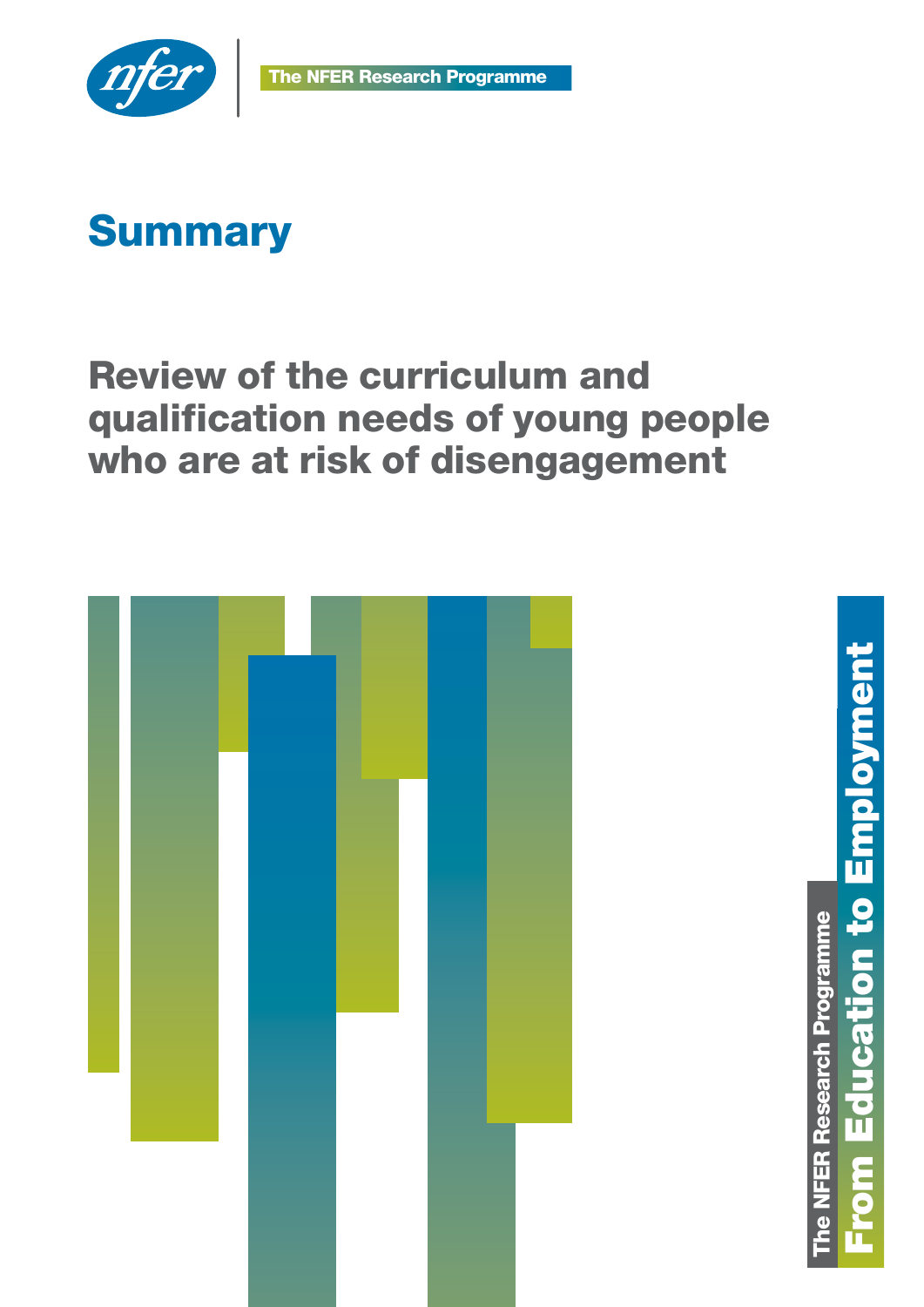

# **Summary**

## Review of the curriculum and qualification needs of young people who are at risk of disengagement



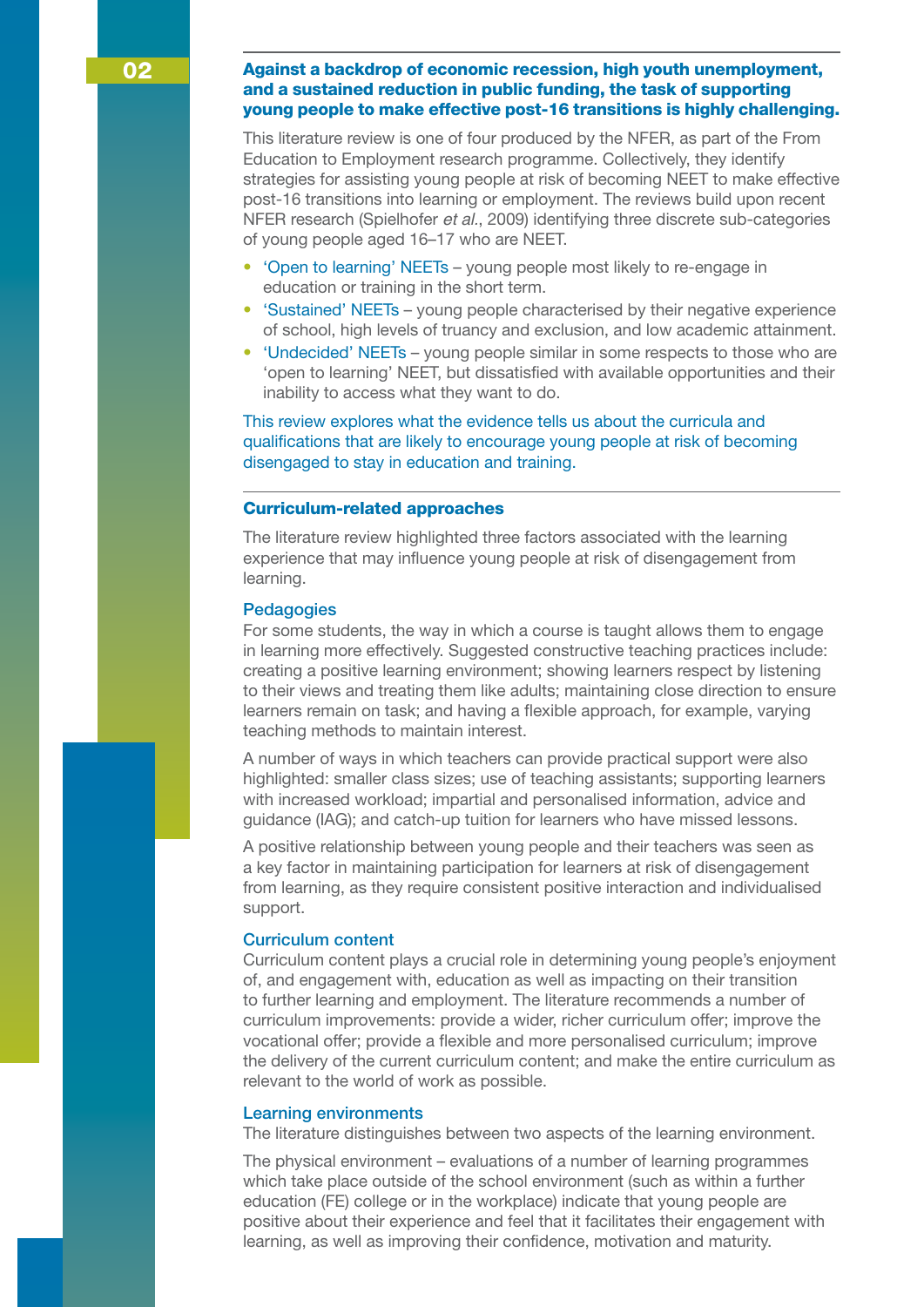This literature review is one of four produced by the NFER, as part of the From Education to Employment research programme. Collectively, they identify strategies for assisting young people at risk of becoming NEET to make effective post-16 transitions into learning or employment. The reviews build upon recent NFER research (Spielhofer *et al.*, 2009) identifying three discrete sub-categories of young people aged 16–17 who are NEET.

- 'Open to learning' NEETs young people most likely to re-engage in education or training in the short term.
- 'Sustained' NEETs young people characterised by their negative experience of school, high levels of truancy and exclusion, and low academic attainment.
- 'Undecided' NEETs young people similar in some respects to those who are 'open to learning' NEET, but dissatisfied with available opportunities and their inability to access what they want to do.

This review explores what the evidence tells us about the curricula and qualifications that are likely to encourage young people at risk of becoming disengaged to stay in education and training.

#### Curriculum-related approaches

The literature review highlighted three factors associated with the learning experience that may influence young people at risk of disengagement from learning.

### **Pedagogies**

For some students, the way in which a course is taught allows them to engage in learning more effectively. Suggested constructive teaching practices include: creating a positive learning environment; showing learners respect by listening to their views and treating them like adults; maintaining close direction to ensure learners remain on task; and having a flexible approach, for example, varying teaching methods to maintain interest.

A number of ways in which teachers can provide practical support were also highlighted: smaller class sizes; use of teaching assistants; supporting learners with increased workload; impartial and personalised information, advice and guidance (IAG); and catch-up tuition for learners who have missed lessons.

A positive relationship between young people and their teachers was seen as a key factor in maintaining participation for learners at risk of disengagement from learning, as they require consistent positive interaction and individualised support.

#### Curriculum content

Curriculum content plays a crucial role in determining young people's enjoyment of, and engagement with, education as well as impacting on their transition to further learning and employment. The literature recommends a number of curriculum improvements: provide a wider, richer curriculum offer; improve the vocational offer; provide a flexible and more personalised curriculum; improve the delivery of the current curriculum content; and make the entire curriculum as relevant to the world of work as possible.

#### Learning environments

The literature distinguishes between two aspects of the learning environment.

The physical environment – evaluations of a number of learning programmes which take place outside of the school environment (such as within a further education (FE) college or in the workplace) indicate that young people are positive about their experience and feel that it facilitates their engagement with learning, as well as improving their confidence, motivation and maturity.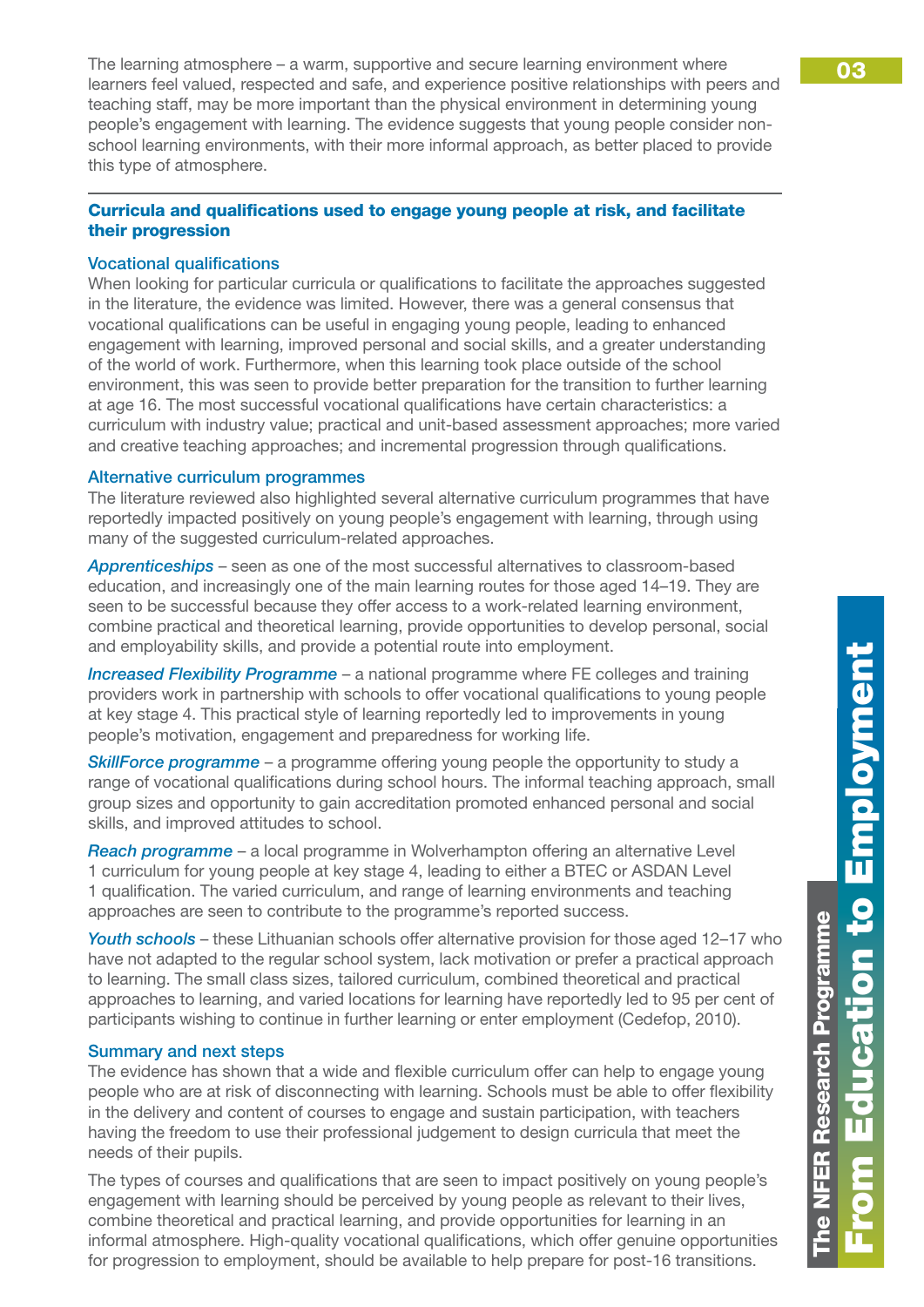The learning atmosphere – a warm, supportive and secure learning environment where  $\overline{\hspace{1cm}}$  03 learners feel valued, respected and safe, and experience positive relationships with peers and teaching staff, may be more important than the physical environment in determining young people's engagement with learning. The evidence suggests that young people consider nonschool learning environments, with their more informal approach, as better placed to provide this type of atmosphere.

## Curricula and qualifications used to engage young people at risk, and facilitate their progression

## Vocational qualifications

When looking for particular curricula or qualifications to facilitate the approaches suggested in the literature, the evidence was limited. However, there was a general consensus that vocational qualifications can be useful in engaging young people, leading to enhanced engagement with learning, improved personal and social skills, and a greater understanding of the world of work. Furthermore, when this learning took place outside of the school environment, this was seen to provide better preparation for the transition to further learning at age 16. The most successful vocational qualifications have certain characteristics: a curriculum with industry value; practical and unit-based assessment approaches; more varied and creative teaching approaches; and incremental progression through qualifications.

## Alternative curriculum programmes

The literature reviewed also highlighted several alternative curriculum programmes that have reportedly impacted positively on young people's engagement with learning, through using many of the suggested curriculum-related approaches.

*Apprenticeships* – seen as one of the most successful alternatives to classroom-based education, and increasingly one of the main learning routes for those aged 14–19. They are seen to be successful because they offer access to a work-related learning environment, combine practical and theoretical learning, provide opportunities to develop personal, social and employability skills, and provide a potential route into employment.

*Increased Flexibility Programme* – a national programme where FE colleges and training providers work in partnership with schools to offer vocational qualifications to young people at key stage 4. This practical style of learning reportedly led to improvements in young people's motivation, engagement and preparedness for working life.

**SkillForce programme** – a programme offering young people the opportunity to study a range of vocational qualifications during school hours. The informal teaching approach, small group sizes and opportunity to gain accreditation promoted enhanced personal and social skills, and improved attitudes to school.

*Reach programme* – a local programme in Wolverhampton offering an alternative Level 1 curriculum for young people at key stage 4, leading to either a BTEC or ASDAN Level 1 qualification. The varied curriculum, and range of learning environments and teaching approaches are seen to contribute to the programme's reported success.

*Youth schools* – these Lithuanian schools offer alternative provision for those aged 12–17 who have not adapted to the regular school system, lack motivation or prefer a practical approach to learning. The small class sizes, tailored curriculum, combined theoretical and practical approaches to learning, and varied locations for learning have reportedly led to 95 per cent of participants wishing to continue in further learning or enter employment (Cedefop, 2010).

## Summary and next steps

The evidence has shown that a wide and flexible curriculum offer can help to engage young people who are at risk of disconnecting with learning. Schools must be able to offer flexibility in the delivery and content of courses to engage and sustain participation, with teachers having the freedom to use their professional judgement to design curricula that meet the needs of their pupils.

The types of courses and qualifications that are seen to impact positively on young people's engagement with learning should be perceived by young people as relevant to their lives, combine theoretical and practical learning, and provide opportunities for learning in an informal atmosphere. High-quality vocational qualifications, which offer genuine opportunities for progression to employment, should be available to help prepare for post-16 transitions.

**he NFER Research Programme** 

NFER Research Programme